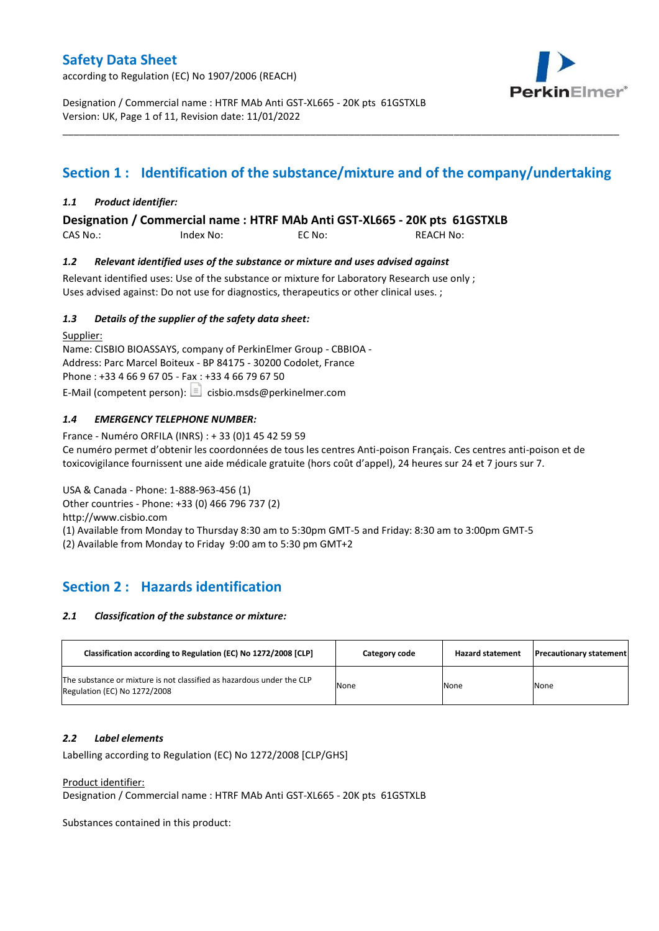according to Regulation (EC) No 1907/2006 (REACH)



Designation / Commercial name : HTRF MAb Anti GST-XL665 - 20K pts 61GSTXLB Version: UK, Page 1 of 11, Revision date: 11/01/2022

# **Section 1 : Identification of the substance/mixture and of the company/undertaking**

\_\_\_\_\_\_\_\_\_\_\_\_\_\_\_\_\_\_\_\_\_\_\_\_\_\_\_\_\_\_\_\_\_\_\_\_\_\_\_\_\_\_\_\_\_\_\_\_\_\_\_\_\_\_\_\_\_\_\_\_\_\_\_\_\_\_\_\_\_\_\_\_\_\_\_\_\_\_\_\_\_\_\_\_\_\_\_\_\_\_\_\_\_\_\_\_\_\_\_\_\_

### *1.1 Product identifier:*

**Designation / Commercial name : HTRF MAb Anti GST-XL665 - 20K pts 61GSTXLB** 

CAS No.: Index No: EC No: REACH No:

### *1.2 Relevant identified uses of the substance or mixture and uses advised against*

Relevant identified uses: Use of the substance or mixture for Laboratory Research use only ; Uses advised against: Do not use for diagnostics, therapeutics or other clinical uses. ;

### *1.3 Details of the supplier of the safety data sheet:*

Supplier: Name: CISBIO BIOASSAYS, company of PerkinElmer Group - CBBIOA - Address: Parc Marcel Boiteux - BP 84175 - 30200 Codolet, France Phone : +33 4 66 9 67 05 - Fax : +33 4 66 79 67 50 E-Mail (competent person):  $\boxed{\equiv}$  cisbio.msds@perkinelmer.com

## *1.4 EMERGENCY TELEPHONE NUMBER:*

France - Numéro ORFILA (INRS) : + 33 (0)1 45 42 59 59 Ce numéro permet d'obtenir les coordonnées de tous les centres Anti-poison Français. Ces centres anti-poison et de toxicovigilance fournissent une aide médicale gratuite (hors coût d'appel), 24 heures sur 24 et 7 jours sur 7.

USA & Canada - Phone: 1-888-963-456 (1) Other countries - Phone: +33 (0) 466 796 737 (2)

http://www.cisbio.com

(1) Available from Monday to Thursday 8:30 am to 5:30pm GMT-5 and Friday: 8:30 am to 3:00pm GMT-5

(2) Available from Monday to Friday 9:00 am to 5:30 pm GMT+2

## **Section 2 : Hazards identification**

### *2.1 Classification of the substance or mixture:*

| Classification according to Regulation (EC) No 1272/2008 [CLP]                                        | Category code | <b>Hazard statement</b> | <b>Precautionary statement</b> |
|-------------------------------------------------------------------------------------------------------|---------------|-------------------------|--------------------------------|
| The substance or mixture is not classified as hazardous under the CLP<br>Regulation (EC) No 1272/2008 | None          | None                    | None                           |

### *2.2 Label elements*

Labelling according to Regulation (EC) No 1272/2008 [CLP/GHS]

### Product identifier:

Designation / Commercial name : HTRF MAb Anti GST-XL665 - 20K pts 61GSTXLB

Substances contained in this product: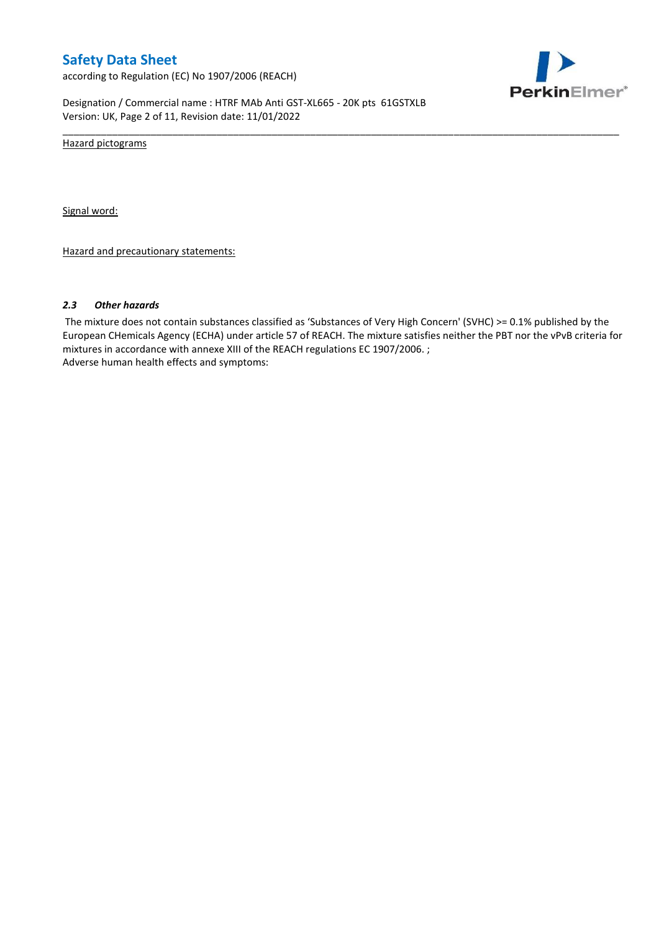according to Regulation (EC) No 1907/2006 (REACH)



Designation / Commercial name : HTRF MAb Anti GST-XL665 - 20K pts 61GSTXLB Version: UK, Page 2 of 11, Revision date: 11/01/2022

Hazard pictograms

Signal word:

Hazard and precautionary statements:

#### *2.3 Other hazards*

The mixture does not contain substances classified as 'Substances of Very High Concern' (SVHC) >= 0.1% published by the European CHemicals Agency (ECHA) under article 57 of REACH. The mixture satisfies neither the PBT nor the vPvB criteria for mixtures in accordance with annexe XIII of the REACH regulations EC 1907/2006. ; Adverse human health effects and symptoms:

\_\_\_\_\_\_\_\_\_\_\_\_\_\_\_\_\_\_\_\_\_\_\_\_\_\_\_\_\_\_\_\_\_\_\_\_\_\_\_\_\_\_\_\_\_\_\_\_\_\_\_\_\_\_\_\_\_\_\_\_\_\_\_\_\_\_\_\_\_\_\_\_\_\_\_\_\_\_\_\_\_\_\_\_\_\_\_\_\_\_\_\_\_\_\_\_\_\_\_\_\_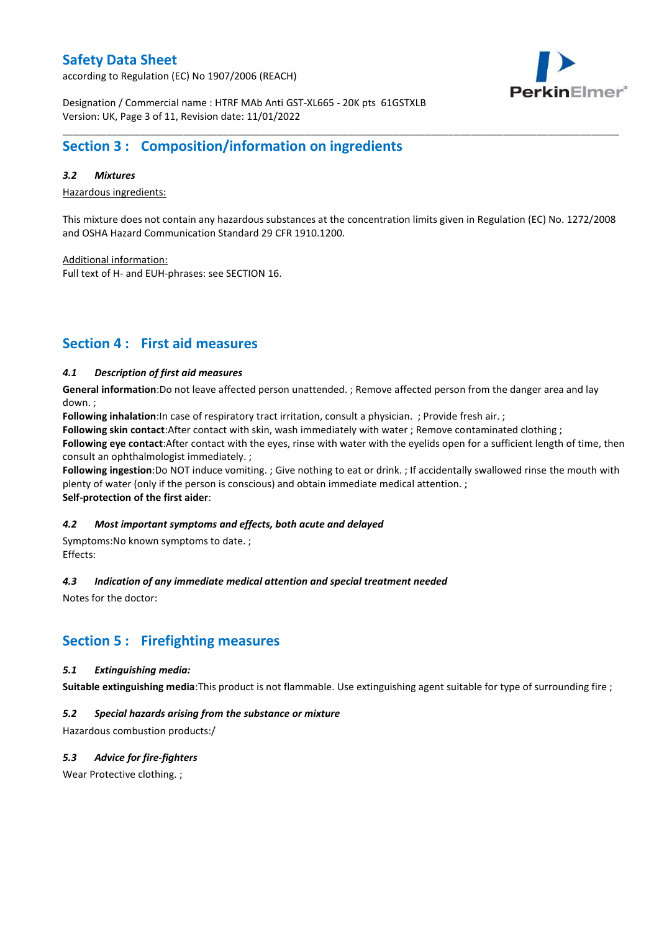according to Regulation (EC) No 1907/2006 (REACH)



Designation / Commercial name : HTRF MAb Anti GST-XL665 - 20K pts 61GSTXLB Version: UK, Page 3 of 11, Revision date: 11/01/2022

## **Section 3 : Composition/information on ingredients**

### *3.2 Mixtures*

Hazardous ingredients:

This mixture does not contain any hazardous substances at the concentration limits given in Regulation (EC) No. 1272/2008 and OSHA Hazard Communication Standard 29 CFR 1910.1200.

\_\_\_\_\_\_\_\_\_\_\_\_\_\_\_\_\_\_\_\_\_\_\_\_\_\_\_\_\_\_\_\_\_\_\_\_\_\_\_\_\_\_\_\_\_\_\_\_\_\_\_\_\_\_\_\_\_\_\_\_\_\_\_\_\_\_\_\_\_\_\_\_\_\_\_\_\_\_\_\_\_\_\_\_\_\_\_\_\_\_\_\_\_\_\_\_\_\_\_\_\_

Additional information:

Full text of H- and EUH-phrases: see SECTION 16.

## **Section 4 : First aid measures**

### *4.1 Description of first aid measures*

**General information**:Do not leave affected person unattended. ; Remove affected person from the danger area and lay down. ;

**Following inhalation**:In case of respiratory tract irritation, consult a physician. ; Provide fresh air. ;

**Following skin contact**:After contact with skin, wash immediately with water ; Remove contaminated clothing ;

**Following eye contact**:After contact with the eyes, rinse with water with the eyelids open for a sufficient length of time, then consult an ophthalmologist immediately. ;

**Following ingestion**:Do NOT induce vomiting. ; Give nothing to eat or drink. ; If accidentally swallowed rinse the mouth with plenty of water (only if the person is conscious) and obtain immediate medical attention. ; **Self-protection of the first aider**:

### *4.2 Most important symptoms and effects, both acute and delayed*

Symptoms:No known symptoms to date. ; Effects:

### *4.3 Indication of any immediate medical attention and special treatment needed*

Notes for the doctor:

## **Section 5 : Firefighting measures**

### *5.1 Extinguishing media:*

**Suitable extinguishing media**:This product is not flammable. Use extinguishing agent suitable for type of surrounding fire ;

## *5.2 Special hazards arising from the substance or mixture*

Hazardous combustion products:/

## *5.3 Advice for fire-fighters*

Wear Protective clothing.;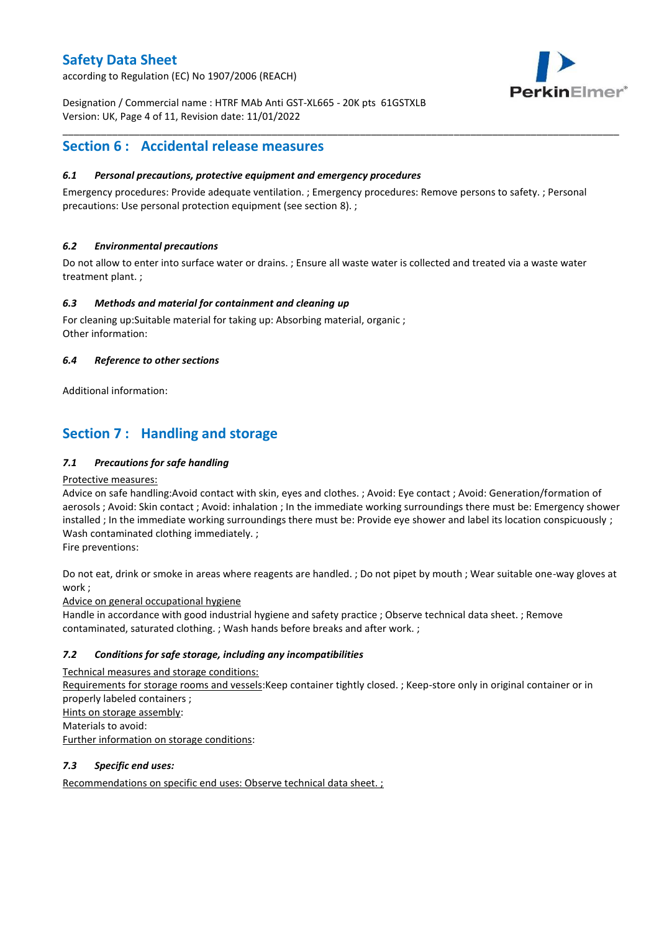according to Regulation (EC) No 1907/2006 (REACH)



Designation / Commercial name : HTRF MAb Anti GST-XL665 - 20K pts 61GSTXLB Version: UK, Page 4 of 11, Revision date: 11/01/2022

## **Section 6 : Accidental release measures**

### *6.1 Personal precautions, protective equipment and emergency procedures*

Emergency procedures: Provide adequate ventilation. ; Emergency procedures: Remove persons to safety. ; Personal precautions: Use personal protection equipment (see section 8). ;

\_\_\_\_\_\_\_\_\_\_\_\_\_\_\_\_\_\_\_\_\_\_\_\_\_\_\_\_\_\_\_\_\_\_\_\_\_\_\_\_\_\_\_\_\_\_\_\_\_\_\_\_\_\_\_\_\_\_\_\_\_\_\_\_\_\_\_\_\_\_\_\_\_\_\_\_\_\_\_\_\_\_\_\_\_\_\_\_\_\_\_\_\_\_\_\_\_\_\_\_\_

## *6.2 Environmental precautions*

Do not allow to enter into surface water or drains. ; Ensure all waste water is collected and treated via a waste water treatment plant. ;

### *6.3 Methods and material for containment and cleaning up*

For cleaning up:Suitable material for taking up: Absorbing material, organic ; Other information:

### *6.4 Reference to other sections*

Additional information:

## **Section 7 : Handling and storage**

### *7.1 Precautions for safe handling*

### Protective measures:

Advice on safe handling:Avoid contact with skin, eyes and clothes. ; Avoid: Eye contact ; Avoid: Generation/formation of aerosols ; Avoid: Skin contact ; Avoid: inhalation ; In the immediate working surroundings there must be: Emergency shower installed ; In the immediate working surroundings there must be: Provide eye shower and label its location conspicuously ; Wash contaminated clothing immediately. ;

Fire preventions:

Do not eat, drink or smoke in areas where reagents are handled. ; Do not pipet by mouth ; Wear suitable one-way gloves at work ;

Advice on general occupational hygiene

Handle in accordance with good industrial hygiene and safety practice ; Observe technical data sheet. ; Remove contaminated, saturated clothing. ; Wash hands before breaks and after work. ;

## *7.2 Conditions for safe storage, including any incompatibilities*

Technical measures and storage conditions: Requirements for storage rooms and vessels:Keep container tightly closed. ; Keep-store only in original container or in properly labeled containers ; Hints on storage assembly: Materials to avoid: Further information on storage conditions:

## *7.3 Specific end uses:*

Recommendations on specific end uses: Observe technical data sheet. ;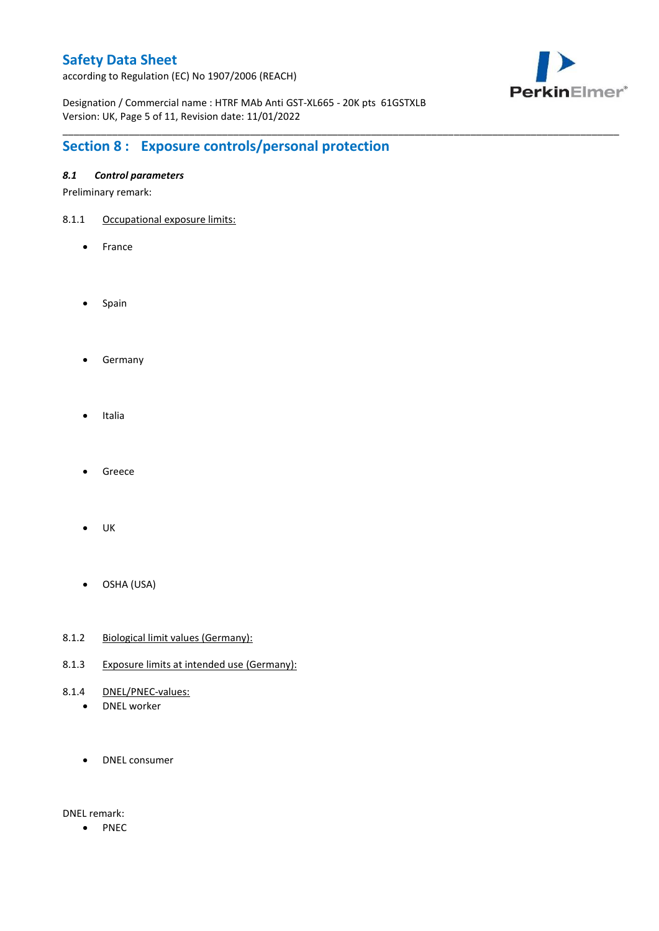according to Regulation (EC) No 1907/2006 (REACH)



Designation / Commercial name : HTRF MAb Anti GST-XL665 - 20K pts 61GSTXLB Version: UK, Page 5 of 11, Revision date: 11/01/2022

\_\_\_\_\_\_\_\_\_\_\_\_\_\_\_\_\_\_\_\_\_\_\_\_\_\_\_\_\_\_\_\_\_\_\_\_\_\_\_\_\_\_\_\_\_\_\_\_\_\_\_\_\_\_\_\_\_\_\_\_\_\_\_\_\_\_\_\_\_\_\_\_\_\_\_\_\_\_\_\_\_\_\_\_\_\_\_\_\_\_\_\_\_\_\_\_\_\_\_\_\_

# **Section 8 : Exposure controls/personal protection**

## *8.1 Control parameters*

Preliminary remark:

- 8.1.1 Occupational exposure limits:
	- France
	- Spain
	- **•** Germany
	- Italia
	- Greece
	- $\bullet$  UK
	- OSHA (USA)
- 8.1.2 Biological limit values (Germany):
- 8.1.3 Exposure limits at intended use (Germany):
- 8.1.4 DNEL/PNEC-values:
	- DNEL worker
	- DNEL consumer

DNEL remark:

• PNEC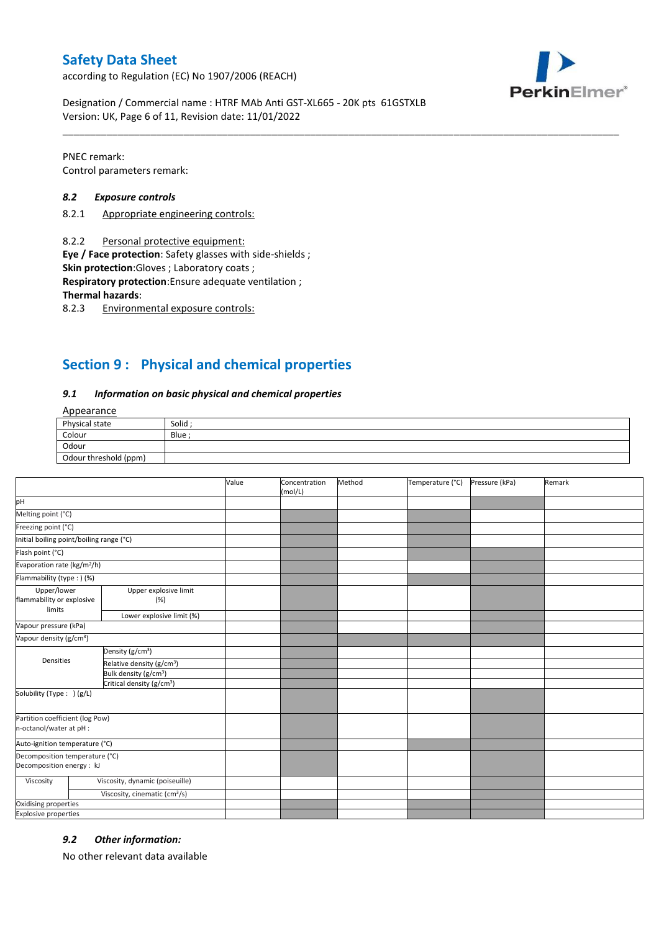according to Regulation (EC) No 1907/2006 (REACH)



Designation / Commercial name : HTRF MAb Anti GST-XL665 - 20K pts 61GSTXLB Version: UK, Page 6 of 11, Revision date: 11/01/2022

PNEC remark: Control parameters remark:

#### *8.2 Exposure controls*

- 8.2.1 Appropriate engineering controls:
- 8.2.2 Personal protective equipment:

**Eye / Face protection**: Safety glasses with side-shields ;

**Skin protection**:Gloves ; Laboratory coats ;

**Respiratory protection**:Ensure adequate ventilation ;

**Thermal hazards**:

8.2.3 Environmental exposure controls:

## **Section 9 : Physical and chemical properties**

#### *9.1 Information on basic physical and chemical properties*

### Appearance

| Physical state        | Solid  |
|-----------------------|--------|
| Colour                | Blue ; |
| Odour                 |        |
| Odour threshold (ppm) |        |

\_\_\_\_\_\_\_\_\_\_\_\_\_\_\_\_\_\_\_\_\_\_\_\_\_\_\_\_\_\_\_\_\_\_\_\_\_\_\_\_\_\_\_\_\_\_\_\_\_\_\_\_\_\_\_\_\_\_\_\_\_\_\_\_\_\_\_\_\_\_\_\_\_\_\_\_\_\_\_\_\_\_\_\_\_\_\_\_\_\_\_\_\_\_\_\_\_\_\_\_\_

|                                                             |                                           | Value | Concentration<br>(mol/L) | Method | Temperature (°C) | Pressure (kPa) | Remark |
|-------------------------------------------------------------|-------------------------------------------|-------|--------------------------|--------|------------------|----------------|--------|
| pH                                                          |                                           |       |                          |        |                  |                |        |
| Melting point (°C)                                          |                                           |       |                          |        |                  |                |        |
| Freezing point (°C)                                         |                                           |       |                          |        |                  |                |        |
| Initial boiling point/boiling range (°C)                    |                                           |       |                          |        |                  |                |        |
| Flash point (°C)                                            |                                           |       |                          |        |                  |                |        |
| Evaporation rate (kg/m <sup>2</sup> /h)                     |                                           |       |                          |        |                  |                |        |
| Flammability (type: ) (%)                                   |                                           |       |                          |        |                  |                |        |
| Upper/lower<br>flammability or explosive<br>limits          | Upper explosive limit<br>(%)              |       |                          |        |                  |                |        |
|                                                             | Lower explosive limit (%)                 |       |                          |        |                  |                |        |
| Vapour pressure (kPa)                                       |                                           |       |                          |        |                  |                |        |
| Vapour density (g/cm <sup>3</sup> )                         |                                           |       |                          |        |                  |                |        |
| Densities                                                   | Density (g/cm <sup>3</sup> )              |       |                          |        |                  |                |        |
|                                                             | Relative density (g/cm <sup>3</sup> )     |       |                          |        |                  |                |        |
|                                                             | Bulk density (g/cm <sup>3</sup> )         |       |                          |        |                  |                |        |
|                                                             | Critical density (g/cm <sup>3</sup> )     |       |                          |        |                  |                |        |
| Solubility (Type: ) (g/L)                                   |                                           |       |                          |        |                  |                |        |
| Partition coefficient (log Pow)<br>n-octanol/water at pH :  |                                           |       |                          |        |                  |                |        |
| Auto-ignition temperature (°C)                              |                                           |       |                          |        |                  |                |        |
| Decomposition temperature (°C)<br>Decomposition energy : kJ |                                           |       |                          |        |                  |                |        |
| Viscosity                                                   | Viscosity, dynamic (poiseuille)           |       |                          |        |                  |                |        |
|                                                             | Viscosity, cinematic (cm <sup>3</sup> /s) |       |                          |        |                  |                |        |
| Oxidising properties                                        |                                           |       |                          |        |                  |                |        |
| <b>Explosive properties</b>                                 |                                           |       |                          |        |                  |                |        |

### *9.2 Other information:*

No other relevant data available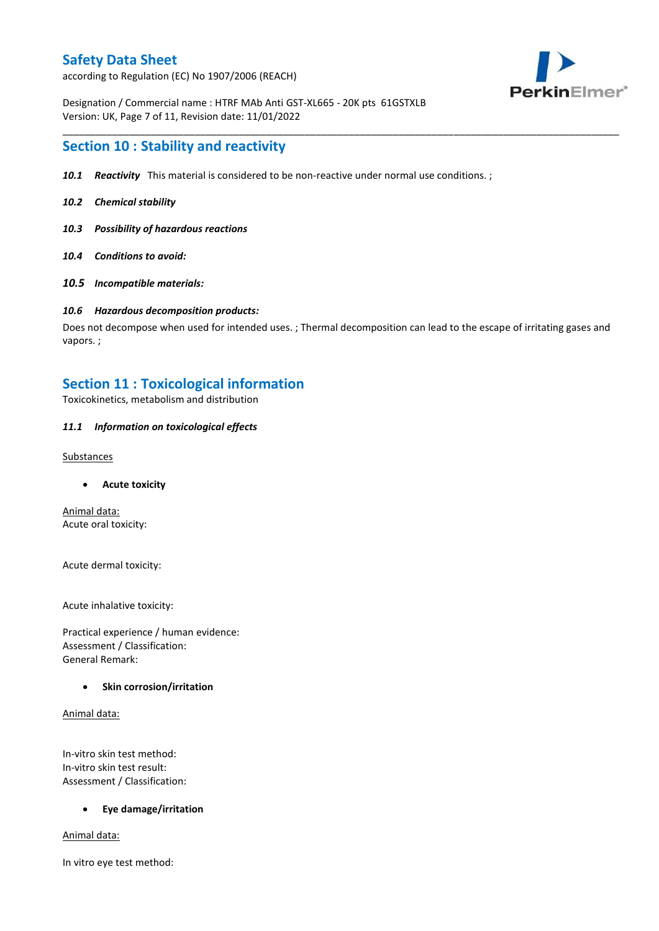according to Regulation (EC) No 1907/2006 (REACH)



Designation / Commercial name : HTRF MAb Anti GST-XL665 - 20K pts 61GSTXLB Version: UK, Page 7 of 11, Revision date: 11/01/2022

## **Section 10 : Stability and reactivity**

- *10.1 Reactivity* This material is considered to be non-reactive under normal use conditions. ;
- *10.2 Chemical stability*
- *10.3 Possibility of hazardous reactions*
- *10.4 Conditions to avoid:*
- *10.5 Incompatible materials:*

#### *10.6 Hazardous decomposition products:*

Does not decompose when used for intended uses. ; Thermal decomposition can lead to the escape of irritating gases and vapors. ;

\_\_\_\_\_\_\_\_\_\_\_\_\_\_\_\_\_\_\_\_\_\_\_\_\_\_\_\_\_\_\_\_\_\_\_\_\_\_\_\_\_\_\_\_\_\_\_\_\_\_\_\_\_\_\_\_\_\_\_\_\_\_\_\_\_\_\_\_\_\_\_\_\_\_\_\_\_\_\_\_\_\_\_\_\_\_\_\_\_\_\_\_\_\_\_\_\_\_\_\_\_

## **Section 11 : Toxicological information**

Toxicokinetics, metabolism and distribution

### *11.1 Information on toxicological effects*

#### **Substances**

**Acute toxicity**

Animal data: Acute oral toxicity:

Acute dermal toxicity:

Acute inhalative toxicity:

Practical experience / human evidence: Assessment / Classification: General Remark:

### **Skin corrosion/irritation**

Animal data:

In-vitro skin test method: In-vitro skin test result: Assessment / Classification:

### **Eye damage/irritation**

Animal data:

In vitro eye test method: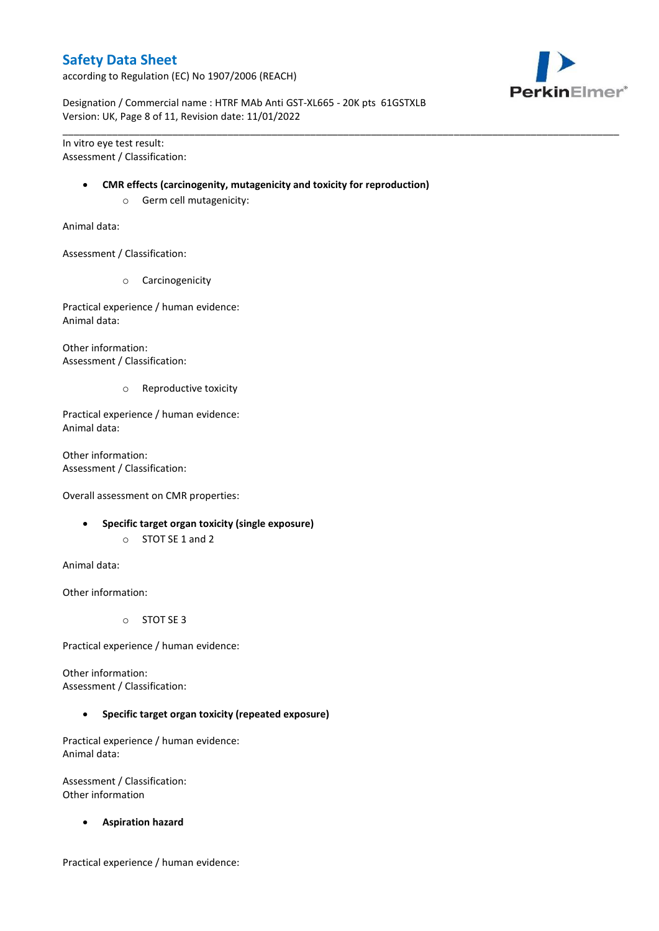according to Regulation (EC) No 1907/2006 (REACH)



Designation / Commercial name : HTRF MAb Anti GST-XL665 - 20K pts 61GSTXLB Version: UK, Page 8 of 11, Revision date: 11/01/2022

In vitro eye test result: Assessment / Classification:

#### **CMR effects (carcinogenity, mutagenicity and toxicity for reproduction)**

\_\_\_\_\_\_\_\_\_\_\_\_\_\_\_\_\_\_\_\_\_\_\_\_\_\_\_\_\_\_\_\_\_\_\_\_\_\_\_\_\_\_\_\_\_\_\_\_\_\_\_\_\_\_\_\_\_\_\_\_\_\_\_\_\_\_\_\_\_\_\_\_\_\_\_\_\_\_\_\_\_\_\_\_\_\_\_\_\_\_\_\_\_\_\_\_\_\_\_\_\_

o Germ cell mutagenicity:

Animal data:

Assessment / Classification:

o Carcinogenicity

Practical experience / human evidence: Animal data:

Other information: Assessment / Classification:

o Reproductive toxicity

Practical experience / human evidence: Animal data:

Other information: Assessment / Classification:

Overall assessment on CMR properties:

- **Specific target organ toxicity (single exposure)**
	- o STOT SE 1 and 2

Animal data:

Other information:

o STOT SE 3

Practical experience / human evidence:

Other information: Assessment / Classification:

**Specific target organ toxicity (repeated exposure)**

Practical experience / human evidence: Animal data:

Assessment / Classification: Other information

**Aspiration hazard**

Practical experience / human evidence: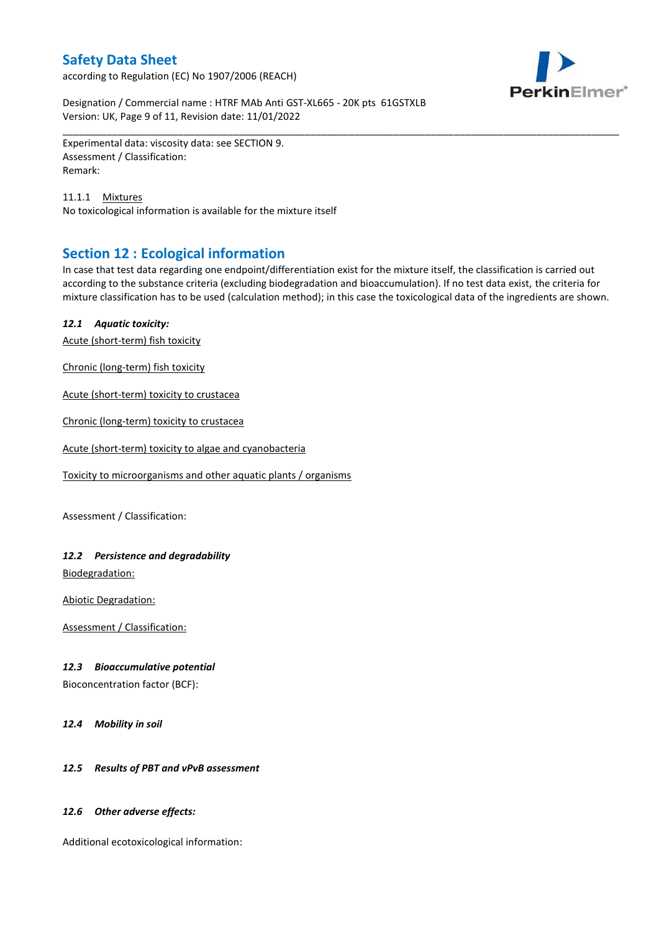according to Regulation (EC) No 1907/2006 (REACH)



Designation / Commercial name : HTRF MAb Anti GST-XL665 - 20K pts 61GSTXLB Version: UK, Page 9 of 11, Revision date: 11/01/2022

Experimental data: viscosity data: see SECTION 9. Assessment / Classification: Remark:

11.1.1 Mixtures No toxicological information is available for the mixture itself

## **Section 12 : Ecological information**

In case that test data regarding one endpoint/differentiation exist for the mixture itself, the classification is carried out according to the substance criteria (excluding biodegradation and bioaccumulation). If no test data exist, the criteria for mixture classification has to be used (calculation method); in this case the toxicological data of the ingredients are shown.

\_\_\_\_\_\_\_\_\_\_\_\_\_\_\_\_\_\_\_\_\_\_\_\_\_\_\_\_\_\_\_\_\_\_\_\_\_\_\_\_\_\_\_\_\_\_\_\_\_\_\_\_\_\_\_\_\_\_\_\_\_\_\_\_\_\_\_\_\_\_\_\_\_\_\_\_\_\_\_\_\_\_\_\_\_\_\_\_\_\_\_\_\_\_\_\_\_\_\_\_\_

### *12.1 Aquatic toxicity:*

Acute (short-term) fish toxicity

Chronic (long-term) fish toxicity

Acute (short-term) toxicity to crustacea

Chronic (long-term) toxicity to crustacea

Acute (short-term) toxicity to algae and cyanobacteria

Toxicity to microorganisms and other aquatic plants / organisms

Assessment / Classification:

## *12.2 Persistence and degradability*

Biodegradation:

Abiotic Degradation:

Assessment / Classification:

### *12.3 Bioaccumulative potential*

Bioconcentration factor (BCF):

*12.4 Mobility in soil*

## *12.5 Results of PBT and vPvB assessment*

### *12.6 Other adverse effects:*

Additional ecotoxicological information: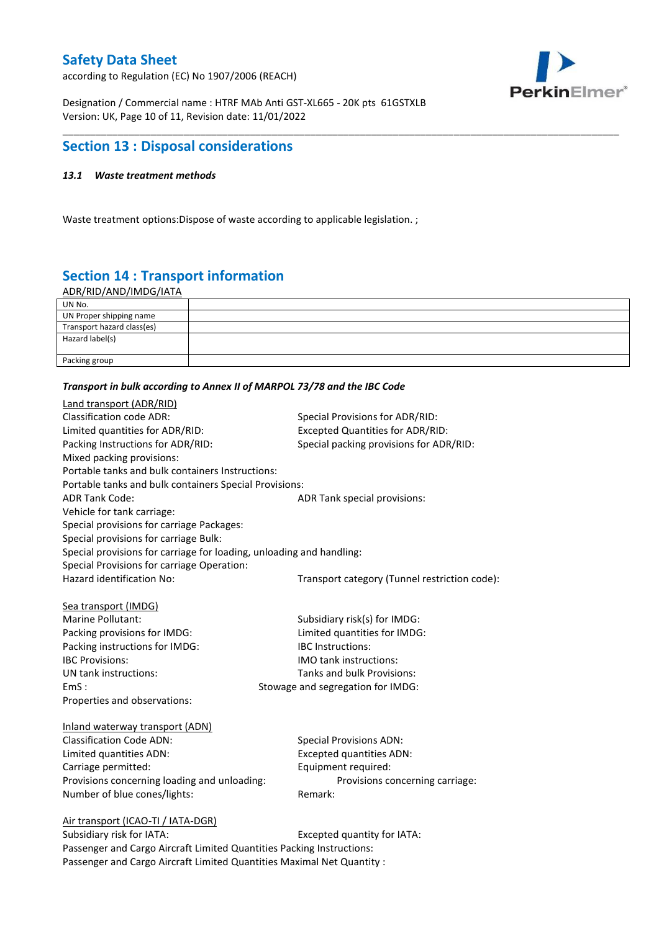according to Regulation (EC) No 1907/2006 (REACH)



Designation / Commercial name : HTRF MAb Anti GST-XL665 - 20K pts 61GSTXLB Version: UK, Page 10 of 11, Revision date: 11/01/2022

## **Section 13 : Disposal considerations**

### *13.1 Waste treatment methods*

Waste treatment options:Dispose of waste according to applicable legislation. ;

# **Section 14 : Transport information**

ADR/RID/AND/IMDG/IATA

| UN No.                     |  |
|----------------------------|--|
| UN Proper shipping name    |  |
| Transport hazard class(es) |  |
| Hazard label(s)            |  |
|                            |  |
| Packing group              |  |

\_\_\_\_\_\_\_\_\_\_\_\_\_\_\_\_\_\_\_\_\_\_\_\_\_\_\_\_\_\_\_\_\_\_\_\_\_\_\_\_\_\_\_\_\_\_\_\_\_\_\_\_\_\_\_\_\_\_\_\_\_\_\_\_\_\_\_\_\_\_\_\_\_\_\_\_\_\_\_\_\_\_\_\_\_\_\_\_\_\_\_\_\_\_\_\_\_\_\_\_\_

#### *Transport in bulk according to Annex II of MARPOL 73/78 and the IBC Code*

| Land transport (ADR/RID)                                             |                                               |
|----------------------------------------------------------------------|-----------------------------------------------|
| <b>Classification code ADR:</b>                                      | Special Provisions for ADR/RID:               |
| Limited quantities for ADR/RID:                                      | <b>Excepted Quantities for ADR/RID:</b>       |
| Packing Instructions for ADR/RID:                                    | Special packing provisions for ADR/RID:       |
| Mixed packing provisions:                                            |                                               |
| Portable tanks and bulk containers Instructions:                     |                                               |
| Portable tanks and bulk containers Special Provisions:               |                                               |
| <b>ADR Tank Code:</b>                                                | ADR Tank special provisions:                  |
| Vehicle for tank carriage:                                           |                                               |
| Special provisions for carriage Packages:                            |                                               |
| Special provisions for carriage Bulk:                                |                                               |
| Special provisions for carriage for loading, unloading and handling: |                                               |
| Special Provisions for carriage Operation:                           |                                               |
| Hazard identification No:                                            | Transport category (Tunnel restriction code): |
|                                                                      |                                               |
| Sea transport (IMDG)                                                 |                                               |
| Marine Pollutant:                                                    | Subsidiary risk(s) for IMDG:                  |
| Packing provisions for IMDG:                                         | Limited quantities for IMDG:                  |
| Packing instructions for IMDG:                                       | IBC Instructions:                             |
| <b>IBC Provisions:</b>                                               | <b>IMO</b> tank instructions:                 |
| UN tank instructions:                                                | Tanks and bulk Provisions:                    |
| EmS:                                                                 | Stowage and segregation for IMDG:             |
| Properties and observations:                                         |                                               |
| Inland waterway transport (ADN)                                      |                                               |
| <b>Classification Code ADN:</b>                                      | <b>Special Provisions ADN:</b>                |
| Limited quantities ADN:                                              | <b>Excepted quantities ADN:</b>               |
| Carriage permitted:                                                  | Equipment required:                           |
| Provisions concerning loading and unloading:                         | Provisions concerning carriage:               |
| Number of blue cones/lights:                                         | Remark:                                       |
|                                                                      |                                               |
| Air transport (ICAO-TI / IATA-DGR)                                   |                                               |
| Suhsidiary risk for IATA·                                            | Excepted quantity for $IATA$ .                |

Subsidiary risk for IATA: Excepted quantity for IATA: Passenger and Cargo Aircraft Limited Quantities Packing Instructions: Passenger and Cargo Aircraft Limited Quantities Maximal Net Quantity :